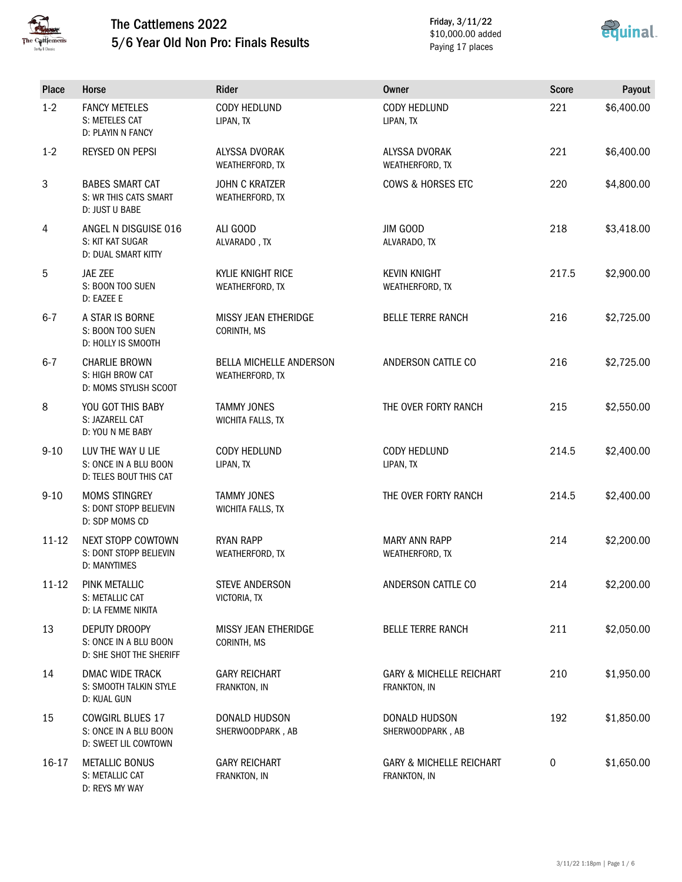

D: REYS MY WAY

### The Cattlemens 2022 5/6 Year Old Non Pro: Finals Results

Friday, 3/11/22 \$10,000.00 added Paying 17 places



| Place     | Horse                                                                    | <b>Rider</b>                                      | <b>Owner</b>                                        | <b>Score</b> | Payout     |
|-----------|--------------------------------------------------------------------------|---------------------------------------------------|-----------------------------------------------------|--------------|------------|
| $1 - 2$   | <b>FANCY METELES</b><br>S: METELES CAT<br>D: PLAYIN N FANCY              | <b>CODY HEDLUND</b><br>LIPAN, TX                  | CODY HEDLUND<br>LIPAN, TX                           | 221          | \$6,400.00 |
| $1 - 2$   | REYSED ON PEPSI                                                          | ALYSSA DVORAK<br>WEATHERFORD, TX                  | <b>ALYSSA DVORAK</b><br>WEATHERFORD, TX             | 221          | \$6,400.00 |
| 3         | <b>BABES SMART CAT</b><br>S: WR THIS CATS SMART<br>D: JUST U BABE        | <b>JOHN C KRATZER</b><br>WEATHERFORD, TX          | COWS & HORSES ETC                                   | 220          | \$4,800.00 |
| 4         | ANGEL N DISGUISE 016<br>S: KIT KAT SUGAR<br>D: DUAL SMART KITTY          | ALI GOOD<br>ALVARADO, TX                          | JIM GOOD<br>ALVARADO, TX                            | 218          | \$3,418.00 |
| 5         | JAE ZEE<br>S: BOON TOO SUEN<br>D: EAZEE E                                | KYLIE KNIGHT RICE<br>WEATHERFORD, TX              | <b>KEVIN KNIGHT</b><br>WEATHERFORD, TX              | 217.5        | \$2,900.00 |
| $6 - 7$   | A STAR IS BORNE<br>S: BOON TOO SUEN<br>D: HOLLY IS SMOOTH                | MISSY JEAN ETHERIDGE<br>CORINTH, MS               | <b>BELLE TERRE RANCH</b>                            | 216          | \$2,725.00 |
| $6 - 7$   | <b>CHARLIE BROWN</b><br>S: HIGH BROW CAT<br>D: MOMS STYLISH SCOOT        | <b>BELLA MICHELLE ANDERSON</b><br>WEATHERFORD, TX | ANDERSON CATTLE CO                                  | 216          | \$2,725.00 |
| 8         | YOU GOT THIS BABY<br>S: JAZARELL CAT<br>D: YOU N ME BABY                 | <b>TAMMY JONES</b><br><b>WICHITA FALLS, TX</b>    | THE OVER FORTY RANCH                                | 215          | \$2,550.00 |
| $9 - 10$  | LUV THE WAY U LIE<br>S: ONCE IN A BLU BOON<br>D: TELES BOUT THIS CAT     | <b>CODY HEDLUND</b><br>LIPAN, TX                  | CODY HEDLUND<br>LIPAN, TX                           | 214.5        | \$2,400.00 |
| $9 - 10$  | <b>MOMS STINGREY</b><br>S: DONT STOPP BELIEVIN<br>D: SDP MOMS CD         | <b>TAMMY JONES</b><br><b>WICHITA FALLS, TX</b>    | THE OVER FORTY RANCH                                | 214.5        | \$2,400.00 |
| $11 - 12$ | NEXT STOPP COWTOWN<br>S: DONT STOPP BELIEVIN<br>D: MANYTIMES             | <b>RYAN RAPP</b><br>WEATHERFORD, TX               | <b>MARY ANN RAPP</b><br>WEATHERFORD, TX             | 214          | \$2,200.00 |
| $11 - 12$ | PINK METALLIC<br>S: METALLIC CAT<br>D: LA FEMME NIKITA                   | <b>STEVE ANDERSON</b><br>VICTORIA, TX             | ANDERSON CATTLE CO                                  | 214          | \$2,200.00 |
| 13        | DEPUTY DROOPY<br>S: ONCE IN A BLU BOON<br>D: SHE SHOT THE SHERIFF        | MISSY JEAN ETHERIDGE<br>CORINTH, MS               | <b>BELLE TERRE RANCH</b>                            | 211          | \$2,050.00 |
| 14        | DMAC WIDE TRACK<br>S: SMOOTH TALKIN STYLE<br>D: KUAL GUN                 | <b>GARY REICHART</b><br>FRANKTON, IN              | <b>GARY &amp; MICHELLE REICHART</b><br>FRANKTON, IN | 210          | \$1,950.00 |
| 15        | <b>COWGIRL BLUES 17</b><br>S: ONCE IN A BLU BOON<br>D: SWEET LIL COWTOWN | DONALD HUDSON<br>SHERWOODPARK, AB                 | DONALD HUDSON<br>SHERWOODPARK, AB                   | 192          | \$1,850.00 |
| 16-17     | <b>METALLIC BONUS</b><br>S: METALLIC CAT                                 | <b>GARY REICHART</b><br>FRANKTON, IN              | <b>GARY &amp; MICHELLE REICHART</b><br>FRANKTON, IN | $\pmb{0}$    | \$1,650.00 |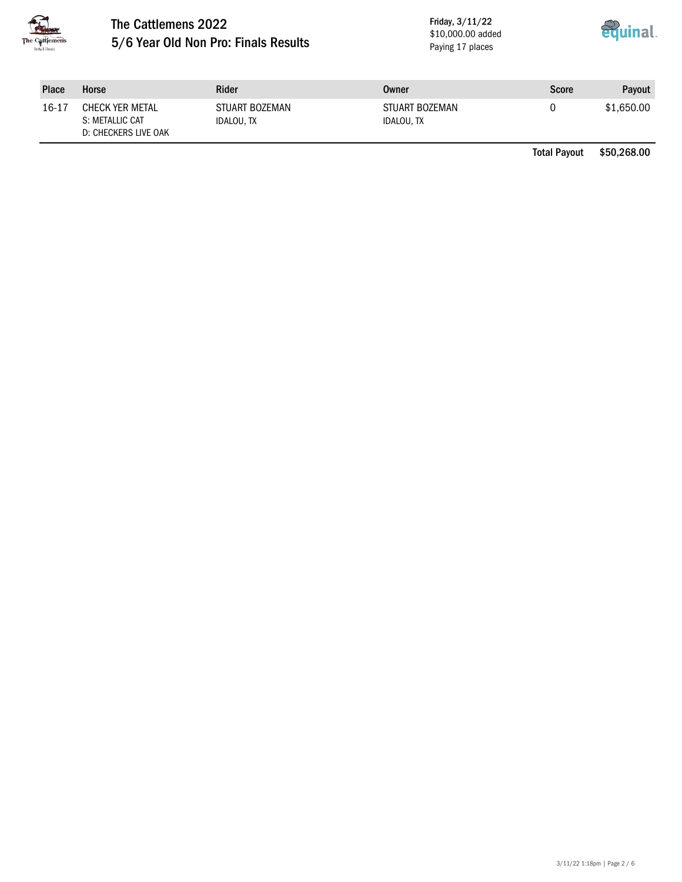

# The Cattlemens 2022 5/6 Year Old Non Pro: Finals Results

Friday, 3/11/22 \$10,000.00 added Paying 17 places



| <b>Place</b> | Horse                                                             | <b>Rider</b>                        | Owner                               | Score | Payout     |
|--------------|-------------------------------------------------------------------|-------------------------------------|-------------------------------------|-------|------------|
| 16-17        | <b>CHECK YER METAL</b><br>S: METALLIC CAT<br>D: CHECKERS LIVE OAK | STUART BOZEMAN<br><b>IDALOU. TX</b> | STUART BOZEMAN<br><b>IDALOU, TX</b> |       | \$1,650.00 |

Total Payout \$50,268.00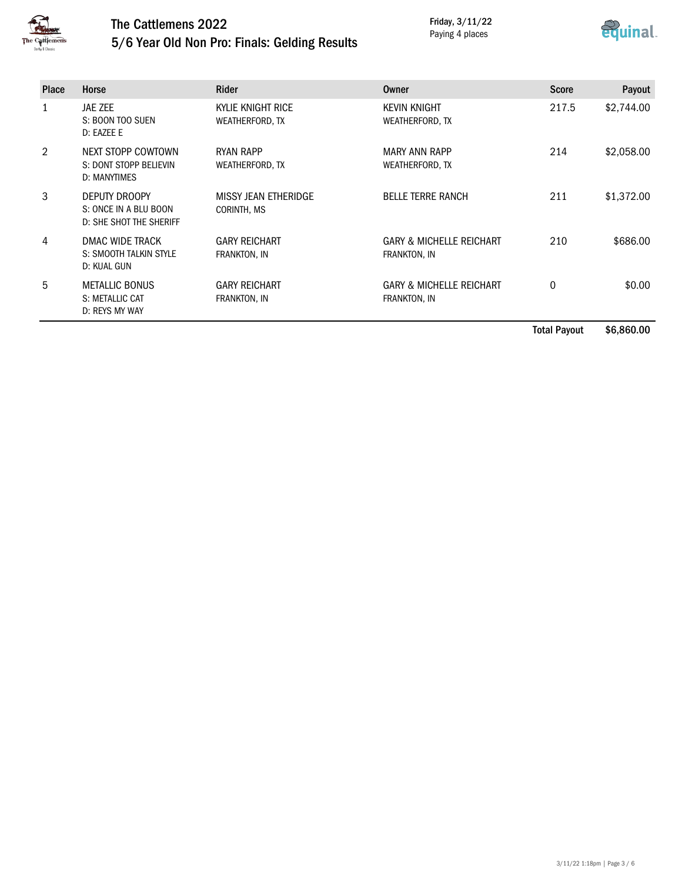

### The Cattlemens 2022 5/6 Year Old Non Pro: Finals: Gelding Results

Friday, 3/11/22 Paying 4 places



| <b>Place</b>  | Horse                                                             | <b>Rider</b>                         | Owner                                               | <b>Score</b> | Payout     |
|---------------|-------------------------------------------------------------------|--------------------------------------|-----------------------------------------------------|--------------|------------|
|               | JAE ZEE<br>S: BOON TOO SUEN<br>D: EAZEE E                         | KYLIE KNIGHT RICE<br>WEATHERFORD, TX | <b>KEVIN KNIGHT</b><br>WEATHERFORD, TX              | 217.5        | \$2,744.00 |
| $\mathcal{P}$ | NEXT STOPP COWTOWN<br>S: DONT STOPP BELIEVIN<br>D: MANYTIMES      | RYAN RAPP<br>WEATHERFORD, TX         | <b>MARY ANN RAPP</b><br>WEATHERFORD, TX             | 214          | \$2,058.00 |
| 3             | DEPUTY DROOPY<br>S: ONCE IN A BLU BOON<br>D: SHE SHOT THE SHERIFF | MISSY JEAN ETHERIDGE<br>CORINTH, MS  | <b>BELLE TERRE RANCH</b>                            | 211          | \$1,372.00 |
| 4             | DMAC WIDE TRACK<br>S: SMOOTH TALKIN STYLE<br>D: KUAL GUN          | <b>GARY REICHART</b><br>FRANKTON, IN | <b>GARY &amp; MICHELLE REICHART</b><br>FRANKTON, IN | 210          | \$686.00   |
| 5             | <b>METALLIC BONUS</b><br>S: METALLIC CAT<br>D: REYS MY WAY        | <b>GARY REICHART</b><br>FRANKTON, IN | <b>GARY &amp; MICHELLE REICHART</b><br>FRANKTON, IN | $\mathbf{0}$ | \$0.00     |

Total Payout \$6,860.00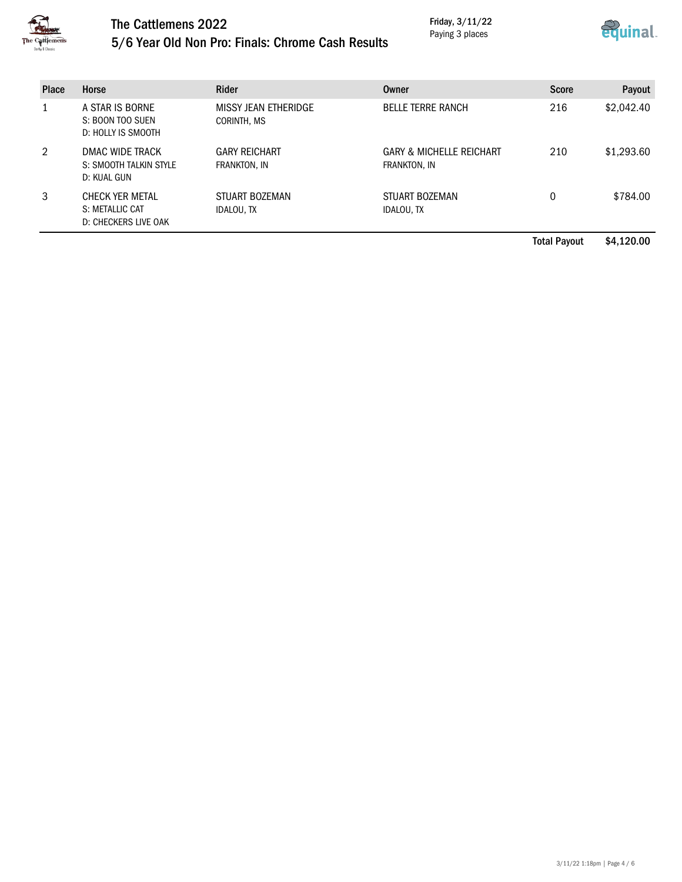

# The Cattlemens 2022 5/6 Year Old Non Pro: Finals: Chrome Cash Results

Friday, 3/11/22 Paying 3 places



| <b>Place</b> | Horse                                                      | Rider                                | Owner                                               | <b>Score</b> | Payout     |
|--------------|------------------------------------------------------------|--------------------------------------|-----------------------------------------------------|--------------|------------|
|              | A STAR IS BORNE<br>S: BOON TOO SUEN<br>D: HOLLY IS SMOOTH  | MISSY JEAN ETHERIDGE<br>CORINTH, MS  | <b>BELLE TERRE RANCH</b>                            | 216          | \$2,042.40 |
| 2            | DMAC WIDE TRACK<br>S: SMOOTH TALKIN STYLE<br>D: KUAL GUN   | <b>GARY REICHART</b><br>FRANKTON, IN | <b>GARY &amp; MICHELLE REICHART</b><br>FRANKTON, IN | 210          | \$1,293.60 |
| 3            | CHECK YER METAL<br>S: METALLIC CAT<br>D: CHECKERS LIVE OAK | STUART BOZEMAN<br><b>IDALOU, TX</b>  | STUART BOZEMAN<br>IDALOU, TX                        | 0            | \$784.00   |

Total Payout \$4,120.00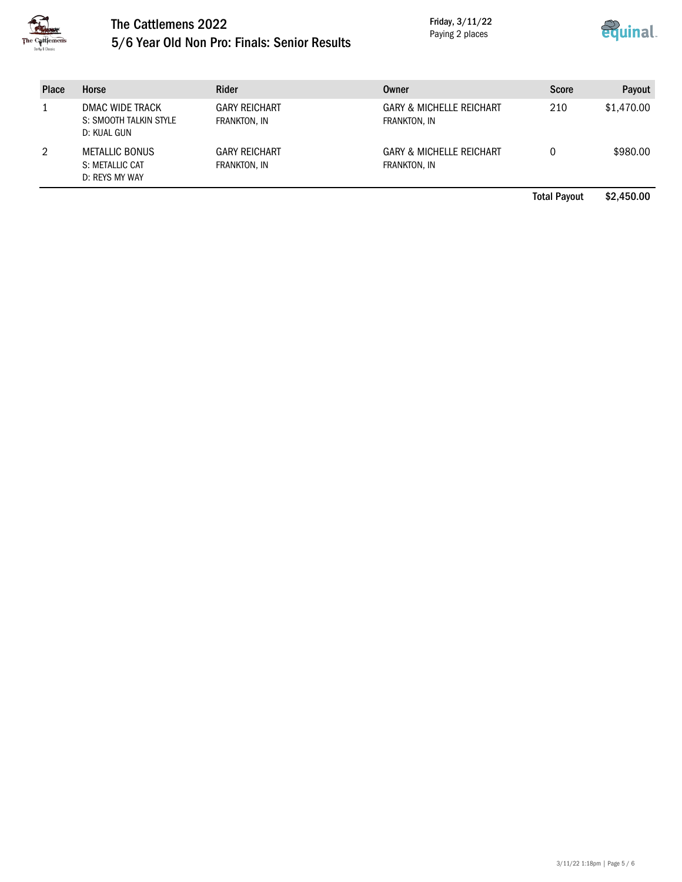

### The Cattlemens 2022 5/6 Year Old Non Pro: Finals: Senior Results

Friday, 3/11/22 Paying 2 places



| <b>Place</b> | Horse                                                      | <b>Rider</b>                         | <b>Owner</b>                                        | <b>Score</b>        | Payout     |
|--------------|------------------------------------------------------------|--------------------------------------|-----------------------------------------------------|---------------------|------------|
|              | DMAC WIDE TRACK<br>S: SMOOTH TALKIN STYLE<br>D: KUAL GUN   | <b>GARY REICHART</b><br>FRANKTON, IN | <b>GARY &amp; MICHELLE REICHART</b><br>FRANKTON, IN | 210                 | \$1,470.00 |
| 2            | <b>METALLIC BONUS</b><br>S: METALLIC CAT<br>D: REYS MY WAY | <b>GARY REICHART</b><br>FRANKTON, IN | <b>GARY &amp; MICHELLE REICHART</b><br>FRANKTON, IN | 0                   | \$980.00   |
|              |                                                            |                                      |                                                     | <b>Total Payout</b> | \$2,450,00 |